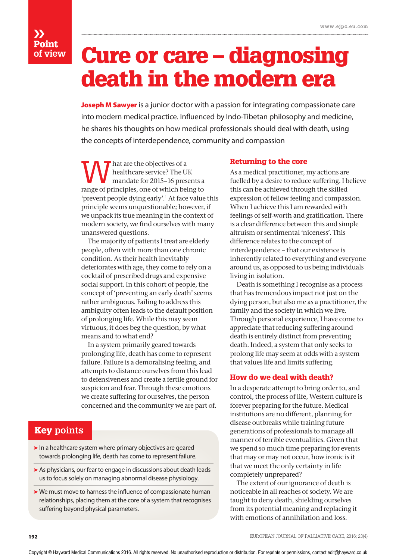# ›› Point **of view**

# Cure or care – diagnosing death in the modern era

Joseph M Sawyer is a junior doctor with a passion for integrating compassionate care into modern medical practice. Influenced by Indo-Tibetan philosophy and medicine, he shares his thoughts on how medical professionals should deal with death, using the concepts of interdependence, community and compassion

W hat are the objectives of a<br>healthcare service? The UK<br>mandate for 2015–16 presents a healthcare service? The UK range of principles, one of which being to 'prevent people dying early'.1 At face value this principle seems unquestionable; however, if we unpack its true meaning in the context of modern society, we find ourselves with many unanswered questions.

The majority of patients I treat are elderly people, often with more than one chronic condition. As their health inevitably deteriorates with age, they come to rely on a cocktail of prescribed drugs and expensive social support. In this cohort of people, the concept of 'preventing an early death' seems rather ambiguous. Failing to address this ambiguity often leads to the default position of prolonging life. While this may seem virtuous, it does beg the question, by what means and to what end?

In a system primarily geared towards prolonging life, death has come to represent failure. Failure is a demoralising feeling, and attempts to distance ourselves from this lead to defensiveness and create a fertile ground for suspicion and fear. Through these emotions we create suffering for ourselves, the person concerned and the community we are part of.

# Key **points**

- **➤** In a healthcare system where primary objectives are geared towards prolonging life, death has come to represent failure.
- **➤** As physicians, our fear to engage in discussions about death leads us to focus solely on managing abnormal disease physiology.
- **➤** We must move to harness the influence of compassionate human relationships, placing them at the core of a system that recognises suffering beyond physical parameters.

## Returning to the core

As a medical practitioner, my actions are fuelled by a desire to reduce suffering. I believe this can be achieved through the skilled expression of fellow feeling and compassion. When I achieve this I am rewarded with feelings of self-worth and gratification. There is a clear difference between this and simple altruism or sentimental 'niceness'. This difference relates to the concept of interdependence – that our existence is inherently related to everything and everyone around us, as opposed to us being individuals living in isolation.

Death is something I recognise as a process that has tremendous impact not just on the dying person, but also me as a practitioner, the family and the society in which we live. Through personal experience, I have come to appreciate that reducing suffering around death is entirely distinct from preventing death. Indeed, a system that only seeks to prolong life may seem at odds with a system that values life and limits suffering.

## How do we deal with death?

In a desperate attempt to bring order to, and control, the process of life, Western culture is forever preparing for the future. Medical institutions are no different, planning for disease outbreaks while training future generations of professionals to manage all manner of terrible eventualities. Given that we spend so much time preparing for events that may or may not occur, how ironic is it that we meet the only certainty in life completely unprepared?

The extent of our ignorance of death is noticeable in all reaches of society. We are taught to deny death, shielding ourselves from its potential meaning and replacing it with emotions of annihilation and loss.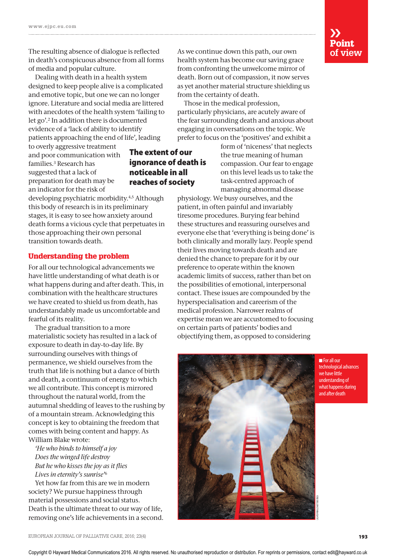The resulting absence of dialogue is reflected in death's conspicuous absence from all forms of media and popular culture.

Dealing with death in a health system designed to keep people alive is a complicated and emotive topic, but one we can no longer ignore. Literature and social media are littered with anecdotes of the health system 'failing to let go'.2 In addition there is documented evidence of a 'lack of ability to identify patients approaching the end of life', leading

to overly aggressive treatment and poor communication with families.3 Research has suggested that a lack of preparation for death may be an indicator for the risk of

## The extent of our ignorance of death is noticeable in all reaches of society

developing psychiatric morbidity.4,5 Although this body of research is in its preliminary stages, it is easy to see how anxiety around death forms a vicious cycle that perpetuates in those approaching their own personal transition towards death.

## Understanding the problem

For all our technological advancements we have little understanding of what death is or what happens during and after death. This, in combination with the healthcare structures we have created to shield us from death, has understandably made us uncomfortable and fearful of its reality.

The gradual transition to a more materialistic society has resulted in a lack of exposure to death in day-to-day life. By surrounding ourselves with things of permanence, we shield ourselves from the truth that life is nothing but a dance of birth and death, a continuum of energy to which we all contribute. This concept is mirrored throughout the natural world, from the autumnal shedding of leaves to the rushing by of a mountain stream. Acknowledging this concept is key to obtaining the freedom that comes with being content and happy. As William Blake wrote:

*'He who binds to himself a joy Does the winged life destroy But he who kisses the joy as it flies Lives in eternity's sunrise'*<sup>6</sup>

Yet how far from this are we in modern society? We pursue happiness through material possessions and social status. Death is the ultimate threat to our way of life, removing one's life achievements in a second.

As we continue down this path, our own health system has become our saving grace from confronting the unwelcome mirror of death. Born out of compassion, it now serves as yet another material structure shielding us from the certainty of death.

Those in the medical profession, particularly physicians, are acutely aware of the fear surrounding death and anxious about engaging in conversations on the topic. We prefer to focus on the 'positives' and exhibit a

> form of 'niceness' that neglects the true meaning of human compassion. Our fear to engage on this level leads us to take the task-centred approach of managing abnormal disease

physiology. We busy ourselves, and the patient, in often painful and invariably tiresome procedures. Burying fear behind these structures and reassuring ourselves and everyone else that 'everything is being done' is both clinically and morally lazy. People spend their lives moving towards death and are denied the chance to prepare for it by our preference to operate within the known academic limits of success, rather than bet on the possibilities of emotional, interpersonal contact. These issues are compounded by the hyperspecialisation and careerism of the medical profession. Narrower realms of expertise mean we are accustomed to focusing on certain parts of patients' bodies and objectifying them, as opposed to considering



**n** For all our technological advances we have little understanding of what happens during and after death